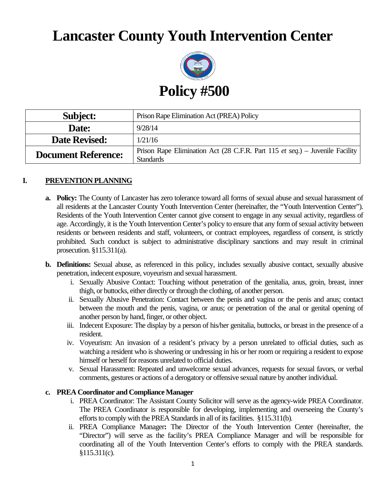# **Lancaster County Youth Intervention Center**



| <b>Subject:</b>            | Prison Rape Elimination Act (PREA) Policy                                                        |
|----------------------------|--------------------------------------------------------------------------------------------------|
| Date:                      | 9/28/14                                                                                          |
| <b>Date Revised:</b>       | 1/21/16                                                                                          |
| <b>Document Reference:</b> | Prison Rape Elimination Act (28 C.F.R. Part 115 et seq.) – Juvenile Facility<br><b>Standards</b> |

## **I. PREVENTION PLANNING**

- **a. Policy:** The County of Lancaster has zero tolerance toward all forms of sexual abuse and sexual harassment of all residents at the Lancaster County Youth Intervention Center (hereinafter, the "Youth Intervention Center"). Residents of the Youth Intervention Center cannot give consent to engage in any sexual activity, regardless of age. Accordingly, it is the Youth Intervention Center's policy to ensure that any form of sexual activity between residents or between residents and staff, volunteers, or contract employees, regardless of consent, is strictly prohibited. Such conduct is subject to administrative disciplinary sanctions and may result in criminal prosecution. §115.311(a).
- **b. Definitions:** Sexual abuse, as referenced in this policy, includes sexually abusive contact, sexually abusive penetration, indecent exposure, voyeurism and sexual harassment.
	- i. Sexually Abusive Contact: Touching without penetration of the genitalia, anus, groin, breast, inner thigh, or buttocks, either directly or through the clothing, of another person.
	- ii. Sexually Abusive Penetration: Contact between the penis and vagina or the penis and anus; contact between the mouth and the penis, vagina, or anus; or penetration of the anal or genital opening of another person by hand, finger, or other object.
	- iii. Indecent Exposure: The display by a person of his/her genitalia, buttocks, or breast in the presence of a resident.
	- iv. Voyeurism: An invasion of a resident's privacy by a person unrelated to official duties, such as watching a resident who is showering or undressing in his or her room or requiring a resident to expose himself or herself for reasons unrelated to official duties.
	- v. Sexual Harassment: Repeated and unwelcome sexual advances, requests for sexual favors, or verbal comments, gestures or actions of a derogatory or offensive sexual nature by another individual.

#### **c. PREA Coordinator and Compliance Manager**

- i. PREA Coordinator: The Assistant County Solicitor will serve as the agency-wide PREA Coordinator. The PREA Coordinator is responsible for developing, implementing and overseeing the County's efforts to comply with the PREA Standards in all of its facilities. §115.311(b).
- ii. PREA Compliance Manager**:** The Director of the Youth Intervention Center (hereinafter, the "Director") will serve as the facility's PREA Compliance Manager and will be responsible for coordinating all of the Youth Intervention Center's efforts to comply with the PREA standards. §115.311(c).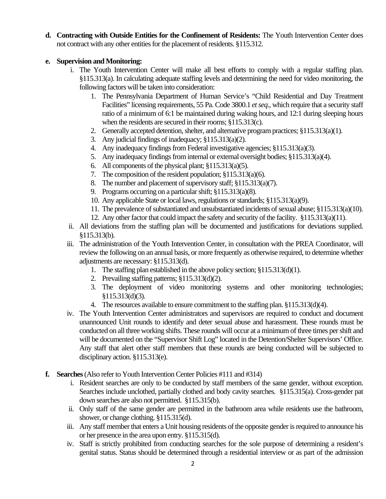**d. Contracting with Outside Entities for the Confinement of Residents:** The Youth Intervention Center does not contract with any other entities for the placement of residents. §115.312.

#### **e. Supervision and Monitoring:**

- i. The Youth Intervention Center will make all best efforts to comply with a regular staffing plan. §115.313(a). In calculating adequate staffing levels and determining the need for video monitoring, the following factors will be taken into consideration:
	- 1. The Pennsylvania Department of Human Service's "Child Residential and Day Treatment Facilities" licensing requirements, 55 Pa. Code 3800.1 *et seq*., which require that a security staff ratio of a minimum of 6:1 be maintained during waking hours, and 12:1 during sleeping hours when the residents are secured in their rooms; §115.313(c).
	- 2. Generally accepted detention, shelter, and alternative program practices; §115.313(a)(1).
	- 3. Any judicial findings of inadequacy; §115.313(a)(2).
	- 4. Any inadequacy findings from Federal investigative agencies; §115.313(a)(3).
	- 5. Any inadequacy findings from internal or external oversight bodies; §115.313(a)(4).
	- 6. All components of the physical plant; §115.313(a)(5).
	- 7. The composition of the resident population; §115.313(a)(6).
	- 8. The number and placement of supervisory staff; §115.313(a)(7).
	- 9. Programs occurring on a particular shift; §115.313(a)(8).
	- 10. Any applicable State or local laws, regulations or standards; §115.313(a)(9).
	- 11. The prevalence of substantiated and unsubstantiated incidents of sexual abuse; §115.313(a)(10).
	- 12. Any other factor that could impact the safety and security of the facility. §115.313(a)(11).
- ii. All deviations from the staffing plan will be documented and justifications for deviations supplied. §115.313(b).
- iii. The administration of the Youth Intervention Center, in consultation with the PREA Coordinator, will review the following on an annual basis, or more frequently as otherwise required, to determine whether adjustments are necessary: §115.313(d).
	- 1. The staffing plan established in the above policy section; §115.313(d)(1).
	- 2. Prevailing staffing patterns; §115.313(d)(2).
	- 3. The deployment of video monitoring systems and other monitoring technologies; §115.313(d)(3).
	- 4. The resources available to ensure commitment to the staffing plan. §115.313(d)(4).
- iv. The Youth Intervention Center administrators and supervisors are required to conduct and document unannounced Unit rounds to identify and deter sexual abuse and harassment. These rounds must be conducted on all three working shifts. These rounds will occur at a minimum of three times per shift and will be documented on the "Supervisor Shift Log" located in the Detention/Shelter Supervisors' Office. Any staff that alert other staff members that these rounds are being conducted will be subjected to disciplinary action. §115.313(e).
- **f. Searches** (Also refer to Youth Intervention Center Policies #111 and #314)
	- i. Resident searches are only to be conducted by staff members of the same gender, without exception. Searches include unclothed, partially clothed and body cavity searches. §115.315(a). Cross-gender pat down searches are also not permitted. §115.315(b).
	- ii. Only staff of the same gender are permitted in the bathroom area while residents use the bathroom, shower, or change clothing. §115.315(d).
	- iii. Any staff member that enters a Unit housing residents of the opposite gender is required to announce his or her presence in the area upon entry. §115.315(d).
	- iv. Staff is strictly prohibited from conducting searches for the sole purpose of determining a resident's genital status. Status should be determined through a residential interview or as part of the admission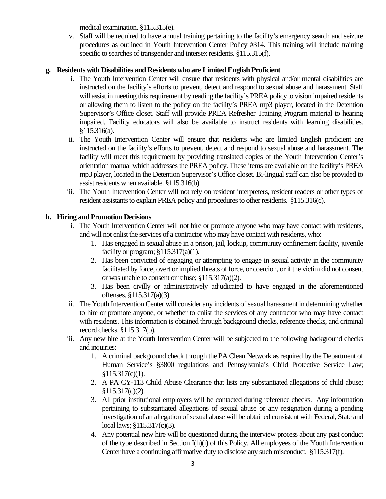medical examination. §115.315(e).

v. Staff will be required to have annual training pertaining to the facility's emergency search and seizure procedures as outlined in Youth Intervention Center Policy #314. This training will include training specific to searches of transgender and intersex residents. §115.315(f).

## **g. Residents with Disabilities and Residents who are Limited English Proficient**

- i. The Youth Intervention Center will ensure that residents with physical and/or mental disabilities are instructed on the facility's efforts to prevent, detect and respond to sexual abuse and harassment. Staff will assist in meeting this requirement by reading the facility's PREA policy to vision impaired residents or allowing them to listen to the policy on the facility's PREA mp3 player, located in the Detention Supervisor's Office closet. Staff will provide PREA Refresher Training Program material to hearing impaired. Facility educators will also be available to instruct residents with learning disabilities. §115.316(a).
- ii. The Youth Intervention Center will ensure that residents who are limited English proficient are instructed on the facility's efforts to prevent, detect and respond to sexual abuse and harassment. The facility will meet this requirement by providing translated copies of the Youth Intervention Center's orientation manual which addresses the PREA policy. These items are available on the facility's PREA mp3 player, located in the Detention Supervisor's Office closet. Bi-lingual staff can also be provided to assist residents when available. §115.316(b).
- iii. The Youth Intervention Center will not rely on resident interpreters, resident readers or other types of resident assistants to explain PREA policy and procedures to other residents. §115.316(c).

#### **h. Hiring and Promotion Decisions**

- i. The Youth Intervention Center will not hire or promote anyone who may have contact with residents, and will not enlist the services of a contractor who may have contact with residents, who:
	- 1. Has engaged in sexual abuse in a prison, jail, lockup, community confinement facility, juvenile facility or program;  $$115.317(a)(1)$ .
	- 2. Has been convicted of engaging or attempting to engage in sexual activity in the community facilitated by force, overt or implied threats of force, or coercion, or if the victim did not consent or was unable to consent or refuse; §115.317(a)(2).
	- 3. Has been civilly or administratively adjudicated to have engaged in the aforementioned offenses. §115.317(a)(3).
- ii. The Youth Intervention Center will consider any incidents of sexual harassment in determining whether to hire or promote anyone, or whether to enlist the services of any contractor who may have contact with residents. This information is obtained through background checks, reference checks, and criminal record checks. §115.317(b).
- iii. Any new hire at the Youth Intervention Center will be subjected to the following background checks and inquiries:
	- 1. A criminal background check through the PA Clean Network as required by the Department of Human Service's §3800 regulations and Pennsylvania's Child Protective Service Law; §115.317(c)(1).
	- 2. A PA CY-113 Child Abuse Clearance that lists any substantiated allegations of child abuse; §115.317(c)(2).
	- 3. All prior institutional employers will be contacted during reference checks. Any information pertaining to substantiated allegations of sexual abuse or any resignation during a pending investigation of an allegation of sexual abuse will be obtained consistent with Federal, State and local laws; §115.317(c)(3).
	- 4. Any potential new hire will be questioned during the interview process about any past conduct of the type described in Section I(h)(i) of this Policy. All employees of the Youth Intervention Center have a continuing affirmative duty to disclose any such misconduct. §115.317(f).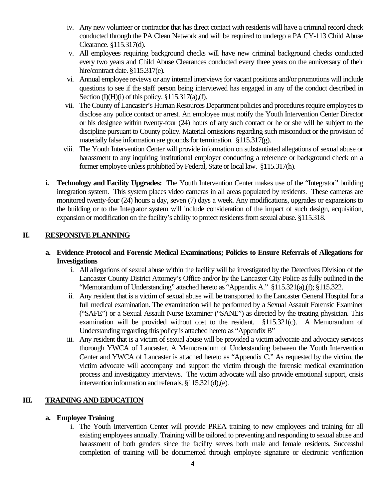- iv. Any new volunteer or contractor that has direct contact with residents will have a criminal record check conducted through the PA Clean Network and will be required to undergo a PA CY-113 Child Abuse Clearance. §115.317(d).
- v. All employees requiring background checks will have new criminal background checks conducted every two years and Child Abuse Clearances conducted every three years on the anniversary of their hire/contract date. §115.317(e).
- vi. Annual employee reviews or any internal interviews for vacant positions and/or promotions will include questions to see if the staff person being interviewed has engaged in any of the conduct described in Section  $(I)(H)(i)$  of this policy. §115.317(a),(f).
- vii. The County of Lancaster's Human Resources Department policies and procedures require employees to disclose any police contact or arrest. An employee must notify the Youth Intervention Center Director or his designee within twenty-four (24) hours of any such contact or he or she will be subject to the discipline pursuant to County policy. Material omissions regarding such misconduct or the provision of materially false information are grounds for termination. §115.317(g).
- viii. The Youth Intervention Center will provide information on substantiated allegations of sexual abuse or harassment to any inquiring institutional employer conducting a reference or background check on a former employee unless prohibited by Federal, State or local law. §115.317(h).
- **i. Technology and Facility Upgrades:** The Youth Intervention Center makes use of the "Integrator" building integration system. This system places video cameras in all areas populated by residents. These cameras are monitored twenty-four (24) hours a day, seven (7) days a week. Any modifications, upgrades or expansions to the building or to the Integrator system will include consideration of the impact of such design, acquisition, expansion or modification on the facility's ability to protect residents from sexual abuse. §115.318.

# **II. RESPONSIVE PLANNING**

- **a. Evidence Protocol and Forensic Medical Examinations; Policies to Ensure Referrals of Allegations for Investigations**
	- i. All allegations of sexual abuse within the facility will be investigated by the Detectives Division of the Lancaster County District Attorney's Office and/or by the Lancaster City Police as fully outlined in the "Memorandum of Understanding" attached hereto as "Appendix A." §115.321(a),(f); §115.322.
	- ii. Any resident that is a victim of sexual abuse will be transported to the Lancaster General Hospital for a full medical examination. The examination will be performed by a Sexual Assault Forensic Examiner ("SAFE") or a Sexual Assault Nurse Examiner ("SANE") as directed by the treating physician. This examination will be provided without cost to the resident. §115.321(c). A Memorandum of Understanding regarding this policy is attached hereto as "Appendix B"
	- iii. Any resident that is a victim of sexual abuse will be provided a victim advocate and advocacy services thorough YWCA of Lancaster. A Memorandum of Understanding between the Youth Intervention Center and YWCA of Lancaster is attached hereto as "Appendix C." As requested by the victim, the victim advocate will accompany and support the victim through the forensic medical examination process and investigatory interviews. The victim advocate will also provide emotional support, crisis intervention information and referrals. §115.321(d),(e).

# **III. TRAINING AND EDUCATION**

## **a. Employee Training**

i. The Youth Intervention Center will provide PREA training to new employees and training for all existing employees annually. Training will be tailored to preventing and responding to sexual abuse and harassment of both genders since the facility serves both male and female residents. Successful completion of training will be documented through employee signature or electronic verification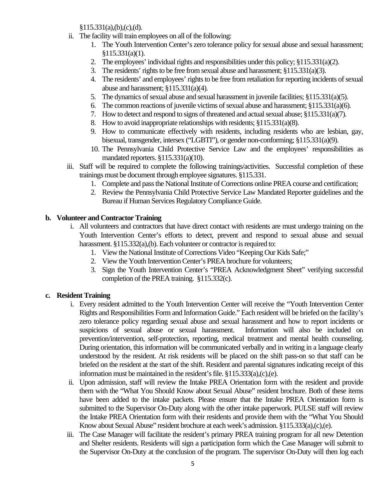$§115.331(a),(b),(c),(d).$ 

- ii. The facility will train employees on all of the following:
	- 1. The Youth Intervention Center's zero tolerance policy for sexual abuse and sexual harassment;  $$115.331(a)(1).$
	- 2. The employees' individual rights and responsibilities under this policy; §115.331(a)(2).
	- 3. The residents' rights to be free from sexual abuse and harassment; §115.331(a)(3).
	- 4. The residents' and employees' rights to be free from retaliation for reporting incidents of sexual abuse and harassment; §115.331(a)(4).
	- 5. The dynamics of sexual abuse and sexual harassment in juvenile facilities; §115.331(a)(5).
	- 6. The common reactions of juvenile victims of sexual abuse and harassment; §115.331(a)(6).
	- 7. How to detect and respond to signs of threatened and actual sexual abuse; §115.331(a)(7).
	- 8. How to avoid inappropriate relationships with residents; §115.331(a)(8).
	- 9. How to communicate effectively with residents, including residents who are lesbian, gay, bisexual, transgender, intersex ("LGBTI"), or gender non-conforming; §115.331(a)(9).
	- 10. The Pennsylvania Child Protective Service Law and the employees' responsibilities as mandated reporters. §115.331(a)(10).
- iii. Staff will be required to complete the following trainings/activities. Successful completion of these trainings must be document through employee signatures. §115.331.
	- 1. Complete and pass the National Institute of Corrections online PREA course and certification;
	- 2. Review the Pennsylvania Child Protective Service Law Mandated Reporter guidelines and the Bureau if Human Services Regulatory Compliance Guide.

#### **b. Volunteer and Contractor Training**

- i. All volunteers and contractors that have direct contact with residents are must undergo training on the Youth Intervention Center's efforts to detect, prevent and respond to sexual abuse and sexual harassment. §115.332(a),(b). Each volunteer or contractor is required to:
	- 1. View the National Institute of Corrections Video "Keeping Our Kids Safe;"
	- 2. View the Youth Intervention Center's PREA brochure for volunteers;
	- 3. Sign the Youth Intervention Center's "PREA Acknowledgment Sheet" verifying successful completion of the PREA training. §115.332(c).

#### **c. Resident Training**

- i. Every resident admitted to the Youth Intervention Center will receive the "Youth Intervention Center Rights and Responsibilities Form and Information Guide." Each resident will be briefed on the facility's zero tolerance policy regarding sexual abuse and sexual harassment and how to report incidents or suspicions of sexual abuse or sexual harassment. Information will also be included on prevention/intervention, self-protection, reporting, medical treatment and mental health counseling. During orientation, this information will be communicated verbally and in writing in a language clearly understood by the resident. At risk residents will be placed on the shift pass-on so that staff can be briefed on the resident at the start of the shift. Resident and parental signatures indicating receipt of this information must be maintained in the resident's file. §115.333(a),(c),(e).
- ii. Upon admission, staff will review the Intake PREA Orientation form with the resident and provide them with the "What You Should Know about Sexual Abuse" resident brochure. Both of these items have been added to the intake packets. Please ensure that the Intake PREA Orientation form is submitted to the Supervisor On-Duty along with the other intake paperwork. PULSE staff will review the Intake PREA Orientation form with their residents and provide them with the "What You Should Know about Sexual Abuse" resident brochure at each week's admission. §115.333(a),(c),(e).
- iii. The Case Manager will facilitate the resident's primary PREA training program for all new Detention and Shelter residents. Residents will sign a participation form which the Case Manager will submit to the Supervisor On-Duty at the conclusion of the program. The supervisor On-Duty will then log each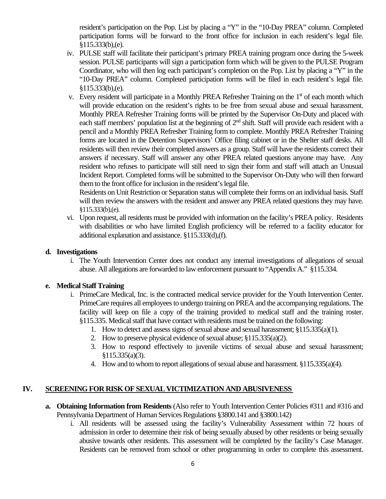resident's participation on the Pop. List by placing a "Y" in the "10-Day PREA" column. Completed participation forms will be forward to the front office for inclusion in each resident's legal file. §115.333(b),(e).

- iv. PULSE staff will facilitate their participant's primary PREA training program once during the 5-week session. PULSE participants will sign a participation form which will be given to the PULSE Program Coordinator, who will then log each participant's completion on the Pop. List by placing a "Y" in the "10-Day PREA" column. Completed participation forms will be filed in each resident's legal file. §115.333(b),(e).
- v. Every resident will participate in a Monthly PREA Refresher Training on the  $1<sup>st</sup>$  of each month which will provide education on the resident's rights to be free from sexual abuse and sexual harassment. Monthly PREA Refresher Training forms will be printed by the Supervisor On-Duty and placed with each staff members' population list at the beginning of 2<sup>nd</sup> shift. Staff will provide each resident with a pencil and a Monthly PREA Refresher Training form to complete. Monthly PREA Refresher Training forms are located in the Detention Supervisors' Office filing cabinet or in the Shelter staff desks. All residents will then review their completed answers as a group. Staff will have the residents correct their answers if necessary. Staff will answer any other PREA related questions anyone may have. Any resident who refuses to participate will still need to sign their form and staff will attach an Unusual Incident Report. Completed forms will be submitted to the Supervisor On-Duty who will then forward them to the front office for inclusion in the resident's legal file.

Residents on Unit Restriction or Separation status will complete their forms on an individual basis. Staff will then review the answers with the resident and answer any PREA related questions they may have. §115.333(b),(e).

vi. Upon request, all residents must be provided with information on the facility's PREA policy. Residents with disabilities or who have limited English proficiency will be referred to a facility educator for additional explanation and assistance. §115.333(d),(f).

#### **d. Investigations**

i. The Youth Intervention Center does not conduct any internal investigations of allegations of sexual abuse. All allegations are forwarded to law enforcement pursuant to "Appendix A." §115.334.

## **e. Medical Staff Training**

- i. PrimeCare Medical, Inc. is the contracted medical service provider for the Youth Intervention Center. PrimeCare requires all employees to undergo training on PREA and the accompanying regulations. The facility will keep on file a copy of the training provided to medical staff and the training roster. §115.335. Medical staff that have contact with residents must be trained on the following:
	- 1. How to detect and assess signs of sexual abuse and sexual harassment; §115.335(a)(1).
	- 2. How to preserve physical evidence of sexual abuse; §115.335(a)(2).
	- 3. How to respond effectively to juvenile victims of sexual abuse and sexual harassment; §115.335(a)(3).
	- 4. How and to whom to report allegations of sexual abuse and harassment. §115.335(a)(4).

## **IV. SCREENING FOR RISK OF SEXUAL VICTIMIZATION AND ABUSIVENESS**

- **a. Obtaining Information from Residents** (Also refer to Youth Intervention Center Policies #311 and #316 and Pennsylvania Department of Human Services Regulations §3800.141 and §3800.142)
	- i. All residents will be assessed using the facility's Vulnerability Assessment within 72 hours of admission in order to determine their risk of being sexually abused by other residents or being sexually abusive towards other residents. This assessment will be completed by the facility's Case Manager. Residents can be removed from school or other programming in order to complete this assessment.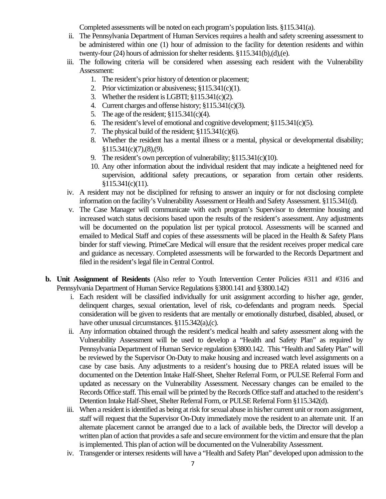Completed assessments will be noted on each program's population lists. §115.341(a).

- ii. The Pennsylvania Department of Human Services requires a health and safety screening assessment to be administered within one (1) hour of admission to the facility for detention residents and within twenty-four (24) hours of admission for shelter residents. §115.341(b),(d),(e).
- iii. The following criteria will be considered when assessing each resident with the Vulnerability Assessment:
	- 1. The resident's prior history of detention or placement;
	- 2. Prior victimization or abusiveness; §115.341(c)(1).
	- 3. Whether the resident is LGBTI; §115.341(c)(2).
	- 4. Current charges and offense history; §115.341(c)(3).
	- 5. The age of the resident; §115.341(c)(4).
	- 6. The resident's level of emotional and cognitive development; §115.341(c)(5).
	- 7. The physical build of the resident; §115.341(c)(6).
	- 8. Whether the resident has a mental illness or a mental, physical or developmental disability;  $§115.341(c)(7),(8),(9).$
	- 9. The resident's own perception of vulnerability; §115.341(c)(10).
	- 10. Any other information about the individual resident that may indicate a heightened need for supervision, additional safety precautions, or separation from certain other residents. §115.341(c)(11).
- iv. A resident may not be disciplined for refusing to answer an inquiry or for not disclosing complete information on the facility's Vulnerability Assessment or Health and Safety Assessment. §115.341(d).
- v. The Case Manager will communicate with each program's Supervisor to determine housing and increased watch status decisions based upon the results of the resident's assessment. Any adjustments will be documented on the population list per typical protocol. Assessments will be scanned and emailed to Medical Staff and copies of these assessments will be placed in the Health & Safety Plans binder for staff viewing. PrimeCare Medical will ensure that the resident receives proper medical care and guidance as necessary. Completed assessments will be forwarded to the Records Department and filed in the resident's legal file in Central Control.
- **b. Unit Assignment of Residents** (Also refer to Youth Intervention Center Policies #311 and #316 and Pennsylvania Department of Human Service Regulations §3800.141 and §3800.142)
	- i. Each resident will be classified individually for unit assignment according to his/her age, gender, delinquent charges, sexual orientation, level of risk, co-defendants and program needs. Special consideration will be given to residents that are mentally or emotionally disturbed, disabled, abused, or have other unusual circumstances. §115.342(a),(c).
	- ii. Any information obtained through the resident's medical health and safety assessment along with the Vulnerability Assessment will be used to develop a "Health and Safety Plan" as required by Pennsylvania Department of Human Service regulation §3800.142. This "Health and Safety Plan" will be reviewed by the Supervisor On-Duty to make housing and increased watch level assignments on a case by case basis. Any adjustments to a resident's housing due to PREA related issues will be documented on the Detention Intake Half-Sheet, Shelter Referral Form, or PULSE Referral Form and updated as necessary on the Vulnerability Assessment. Necessary changes can be emailed to the Records Office staff. This email will be printed by the Records Office staff and attached to the resident's Detention Intake Half-Sheet, Shelter Referral Form, or PULSE Referral Form §115.342(d).
	- iii. When a resident is identified as being at risk for sexual abuse in his/her current unit or room assignment, staff will request that the Supervisor On-Duty immediately move the resident to an alternate unit. If an alternate placement cannot be arranged due to a lack of available beds, the Director will develop a written plan of action that provides a safe and secure environment for the victim and ensure that the plan is implemented. This plan of action will be documented on the Vulnerability Assessment.
	- iv. Transgender or intersex residents will have a "Health and Safety Plan" developed upon admission to the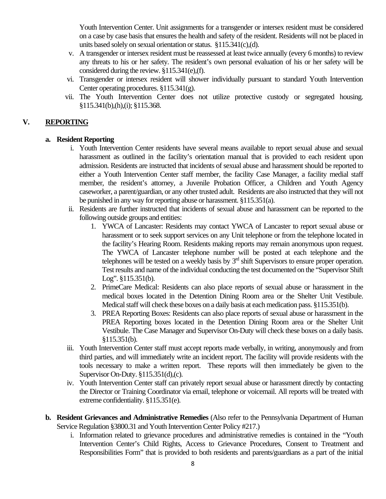Youth Intervention Center. Unit assignments for a transgender or intersex resident must be considered on a case by case basis that ensures the health and safety of the resident. Residents will not be placed in units based solely on sexual orientation or status. §115.341(c),(d).

- v. A transgender or intersex resident must be reassessed at least twice annually (every 6 months) to review any threats to his or her safety. The resident's own personal evaluation of his or her safety will be considered during the review. §115.341(e),(f).
- vi. Transgender or intersex resident will shower individually pursuant to standard Youth Intervention Center operating procedures. §115.341(g).
- vii. The Youth Intervention Center does not utilize protective custody or segregated housing. §115.341(b),(h),(i); §115.368.

## **V. REPORTING**

#### **a. Resident Reporting**

- i. Youth Intervention Center residents have several means available to report sexual abuse and sexual harassment as outlined in the facility's orientation manual that is provided to each resident upon admission. Residents are instructed that incidents of sexual abuse and harassment should be reported to either a Youth Intervention Center staff member, the facility Case Manager, a facility medial staff member, the resident's attorney, a Juvenile Probation Officer, a Children and Youth Agency caseworker, a parent/guardian, or any other trusted adult. Residents are also instructed that they will not be punished in any way for reporting abuse or harassment. §115.351(a).
- ii. Residents are further instructed that incidents of sexual abuse and harassment can be reported to the following outside groups and entities:
	- 1. YWCA of Lancaster: Residents may contact YWCA of Lancaster to report sexual abuse or harassment or to seek support services on any Unit telephone or from the telephone located in the facility's Hearing Room. Residents making reports may remain anonymous upon request. The YWCA of Lancaster telephone number will be posted at each telephone and the telephones will be tested on a weekly basis by  $3<sup>rd</sup>$  shift Supervisors to ensure proper operation. Test results and name of the individual conducting the test documented on the "Supervisor Shift Log". §115.351(b).
	- 2. PrimeCare Medical: Residents can also place reports of sexual abuse or harassment in the medical boxes located in the Detention Dining Room area or the Shelter Unit Vestibule. Medical staff will check these boxes on a daily basis at each medication pass. §115.351(b).
	- 3. PREA Reporting Boxes: Residents can also place reports of sexual abuse or harassment in the PREA Reporting boxes located in the Detention Dining Room area or the Shelter Unit Vestibule. The Case Manager and Supervisor On-Duty will check these boxes on a daily basis. §115.351(b).
- iii. Youth Intervention Center staff must accept reports made verbally, in writing, anonymously and from third parties, and will immediately write an incident report. The facility will provide residents with the tools necessary to make a written report. These reports will then immediately be given to the Supervisor On-Duty. §115.351(d),(c).
- iv. Youth Intervention Center staff can privately report sexual abuse or harassment directly by contacting the Director or Training Coordinator via email, telephone or voicemail. All reports will be treated with extreme confidentiality. §115.351(e).
- **b. Resident Grievances and Administrative Remedies** (Also refer to the Pennsylvania Department of Human Service Regulation §3800.31 and Youth Intervention Center Policy #217.)
	- i. Information related to grievance procedures and administrative remedies is contained in the "Youth Intervention Center's Child Rights, Access to Grievance Procedures, Consent to Treatment and Responsibilities Form" that is provided to both residents and parents/guardians as a part of the initial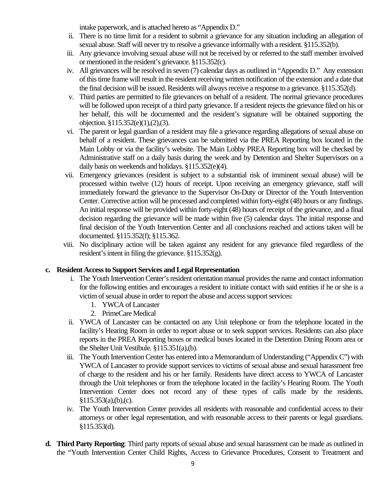intake paperwork, and is attached hereto as "Appendix D."

- ii. There is no time limit for a resident to submit a grievance for any situation including an allegation of sexual abuse. Staff will never try to resolve a grievance informally with a resident. §115.352(b).
- iii. Any grievance involving sexual abuse will not be received by or referred to the staff member involved or mentioned in the resident's grievance. §115.352(c).
- iv. All grievances will be resolved in seven (7) calendar days as outlined in "Appendix D." Any extension of this time frame will result in the resident receiving written notification of the extension and a date that the final decision will be issued. Residents will always receive a response to a grievance. §115.352(d).
- v. Third parties are permitted to file grievances on behalf of a resident. The normal grievance procedures will be followed upon receipt of a third party grievance. If a resident rejects the grievance filed on his or her behalf, this will be documented and the resident's signature will be obtained supporting the objection. §115.352(e)(1),(2),(3).
- vi. The parent or legal guardian of a resident may file a grievance regarding allegations of sexual abuse on behalf of a resident. These grievances can be submitted via the PREA Reporting box located in the Main Lobby or via the facility's website. The Main Lobby PREA Reporting box will be checked by Administrative staff on a daily basis during the week and by Detention and Shelter Supervisors on a daily basis on weekends and holidays. §115.352(e)(4).
- vii. Emergency grievances (resident is subject to a substantial risk of imminent sexual abuse) will be processed within twelve (12) hours of receipt. Upon receiving an emergency grievance, staff will immediately forward the grievance to the Supervisor On-Duty or Director of the Youth Intervention Center. Corrective action will be processed and completed within forty-eight (48) hours or any findings. An initial response will be provided within forty-eight (48) hours of receipt of the grievance, and a final decision regarding the grievance will be made within five (5) calendar days. The initial response and final decision of the Youth Intervention Center and all conclusions reached and actions taken will be documented. §115.352(f); §115.362.
- viii. No disciplinary action will be taken against any resident for any grievance filed regardless of the resident's intent in filing the grievance. §115.352(g).

## **c. Resident Access to Support Services and Legal Representation**

- i. The Youth Intervention Center's resident orientation manual provides the name and contact information for the following entities and encourages a resident to initiate contact with said entities if he or she is a victim of sexual abuse in order to report the abuse and access support services:
	- 1. YWCA of Lancaster
	- 2. PrimeCare Medical
- ii. YWCA of Lancaster can be contacted on any Unit telephone or from the telephone located in the facility's Hearing Room in order to report abuse or to seek support services. Residents can also place reports in the PREA Reporting boxes or medical boxes located in the Detention Dining Room area or the Shelter Unit Vestibule. §115.351(a),(b).
- iii. The Youth Intervention Center has entered into a Memorandum of Understanding ("Appendix C") with YWCA of Lancaster to provide support services to victims of sexual abuse and sexual harassment free of charge to the resident and his or her family. Residents have direct access to YWCA of Lancaster through the Unit telephones or from the telephone located in the facility's Hearing Room. The Youth Intervention Center does not record any of these types of calls made by the residents.  $§115.353(a), (b), (c).$
- iv. The Youth Intervention Center provides all residents with reasonable and confidential access to their attorneys or other legal representation, and with reasonable access to their parents or legal guardians. §115.353(d).
- **d. Third Party Reporting**: Third party reports of sexual abuse and sexual harassment can be made as outlined in the "Youth Intervention Center Child Rights, Access to Grievance Procedures, Consent to Treatment and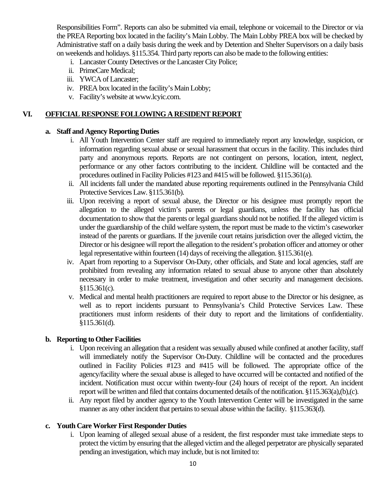Responsibilities Form". Reports can also be submitted via email, telephone or voicemail to the Director or via the PREA Reporting box located in the facility's Main Lobby. The Main Lobby PREA box will be checked by Administrative staff on a daily basis during the week and by Detention and Shelter Supervisors on a daily basis on weekends and holidays. §115.354. Third party reports can also be made to the following entities:

- i. Lancaster County Detectives or the Lancaster City Police;
- ii. PrimeCare Medical;
- iii. YWCA of Lancaster;
- iv. PREA box located in the facility's Main Lobby;
- v. Facility's website at www.lcyic.com.

#### **VI. OFFICIAL RESPONSE FOLLOWING A RESIDENT REPORT**

#### **a. Staff and Agency Reporting Duties**

- i. All Youth Intervention Center staff are required to immediately report any knowledge, suspicion, or information regarding sexual abuse or sexual harassment that occurs in the facility. This includes third party and anonymous reports. Reports are not contingent on persons, location, intent, neglect, performance or any other factors contributing to the incident. Childline will be contacted and the procedures outlined in Facility Policies #123 and #415 will be followed. §115.361(a).
- ii. All incidents fall under the mandated abuse reporting requirements outlined in the Pennsylvania Child Protective Services Law. §115.361(b).
- iii. Upon receiving a report of sexual abuse, the Director or his designee must promptly report the allegation to the alleged victim's parents or legal guardians, unless the facility has official documentation to show that the parents or legal guardians should not be notified. If the alleged victim is under the guardianship of the child welfare system, the report must be made to the victim's caseworker instead of the parents or guardians. If the juvenile court retains jurisdiction over the alleged victim, the Director or his designee will report the allegation to the resident's probation officer and attorney or other legal representative within fourteen (14) days of receiving the allegation. §115.361(e).
- iv. Apart from reporting to a Supervisor On-Duty, other officials, and State and local agencies, staff are prohibited from revealing any information related to sexual abuse to anyone other than absolutely necessary in order to make treatment, investigation and other security and management decisions. §115.361(c).
- v. Medical and mental health practitioners are required to report abuse to the Director or his designee, as well as to report incidents pursuant to Pennsylvania's Child Protective Services Law. These practitioners must inform residents of their duty to report and the limitations of confidentiality. §115.361(d).

#### **b. Reporting to Other Facilities**

- i. Upon receiving an allegation that a resident was sexually abused while confined at another facility, staff will immediately notify the Supervisor On-Duty. Childline will be contacted and the procedures outlined in Facility Policies #123 and #415 will be followed. The appropriate office of the agency/facility where the sexual abuse is alleged to have occurred will be contacted and notified of the incident. Notification must occur within twenty-four (24) hours of receipt of the report. An incident report will be written and filed that contains documented details of the notification. §115.363(a),(b),(c).
- ii. Any report filed by another agency to the Youth Intervention Center will be investigated in the same manner as any other incident that pertains to sexual abuse within the facility. §115.363(d).

#### **c. Youth Care Worker First Responder Duties**

i. Upon learning of alleged sexual abuse of a resident, the first responder must take immediate steps to protect the victim by ensuring that the alleged victim and the alleged perpetrator are physically separated pending an investigation, which may include, but is not limited to: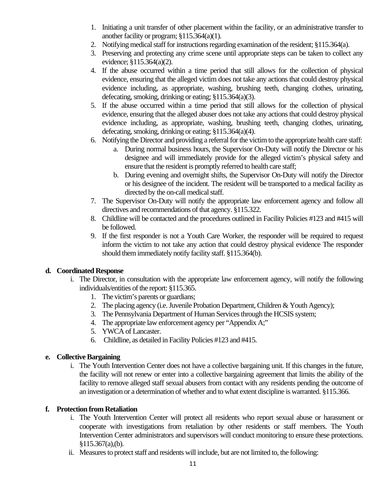- 1. Initiating a unit transfer of other placement within the facility, or an administrative transfer to another facility or program; §115.364(a)(1).
- 2. Notifying medical staff for instructions regarding examination of the resident; §115.364(a).
- 3. Preserving and protecting any crime scene until appropriate steps can be taken to collect any evidence; §115.364(a)(2).
- 4. If the abuse occurred within a time period that still allows for the collection of physical evidence, ensuring that the alleged victim does not take any actions that could destroy physical evidence including, as appropriate, washing, brushing teeth, changing clothes, urinating, defecating, smoking, drinking or eating; §115.364(a)(3).
- 5. If the abuse occurred within a time period that still allows for the collection of physical evidence, ensuring that the alleged abuser does not take any actions that could destroy physical evidence including, as appropriate, washing, brushing teeth, changing clothes, urinating, defecating, smoking, drinking or eating; §115.364(a)(4).
- 6. Notifying the Director and providing a referral for the victim to the appropriate health care staff:
	- a. During normal business hours, the Supervisor On-Duty will notify the Director or his designee and will immediately provide for the alleged victim's physical safety and ensure that the resident is promptly referred to health care staff;
	- b. During evening and overnight shifts, the Supervisor On-Duty will notify the Director or his designee of the incident. The resident will be transported to a medical facility as directed by the on-call medical staff.
- 7. The Supervisor On-Duty will notify the appropriate law enforcement agency and follow all directives and recommendations of that agency. §115.322.
- 8. Childline will be contacted and the procedures outlined in Facility Policies #123 and #415 will be followed.
- 9. If the first responder is not a Youth Care Worker, the responder will be required to request inform the victim to not take any action that could destroy physical evidence The responder should them immediately notify facility staff. §115.364(b).

## **d. Coordinated Response**

- i. The Director, in consultation with the appropriate law enforcement agency, will notify the following individuals/entities of the report: §115.365.
	- 1. The victim's parents or guardians;
	- 2. The placing agency (i.e. Juvenile Probation Department, Children & Youth Agency);
	- 3. The Pennsylvania Department of Human Services through the HCSIS system;
	- 4. The appropriate law enforcement agency per "Appendix A;"
	- 5. YWCA of Lancaster.
	- 6. Childline, as detailed in Facility Policies #123 and #415.

## **e. Collective Bargaining**

i. The Youth Intervention Center does not have a collective bargaining unit. If this changes in the future, the facility will not renew or enter into a collective bargaining agreement that limits the ability of the facility to remove alleged staff sexual abusers from contact with any residents pending the outcome of an investigation or a determination of whether and to what extent discipline is warranted. §115.366.

## **f. Protection from Retaliation**

- i. The Youth Intervention Center will protect all residents who report sexual abuse or harassment or cooperate with investigations from retaliation by other residents or staff members. The Youth Intervention Center administrators and supervisors will conduct monitoring to ensure these protections.  $$115.367(a), (b).$
- ii. Measures to protect staff and residents will include, but are not limited to, the following: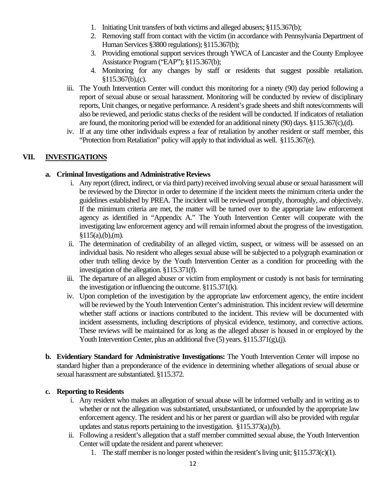- 1. Initiating Unit transfers of both victims and alleged abusers; §115.367(b);
- 2. Removing staff from contact with the victim (in accordance with Pennsylvania Department of Human Services §3800 regulations); §115.367(b);
- 3. Providing emotional support services through YWCA of Lancaster and the County Employee Assistance Program ("EAP"); §115.367(b);
- 4. Monitoring for any changes by staff or residents that suggest possible retaliation.  $$115.367(b),(c).$
- iii. The Youth Intervention Center will conduct this monitoring for a ninety (90) day period following a report of sexual abuse or sexual harassment. Monitoring will be conducted by review of disciplinary reports, Unit changes, or negative performance. A resident's grade sheets and shift notes/comments will also be reviewed, and periodic status checks of the resident will be conducted. If indicators of retaliation are found, the monitoring period will be extended for an additional ninety (90) days. §115.367(c),(d).
- iv. If at any time other individuals express a fear of retaliation by another resident or staff member, this "Protection from Retaliation" policy will apply to that individual as well. §115.367(e).

# **VII. INVESTIGATIONS**

#### **a. Criminal Investigations and Administrative Reviews**

- i. Any report (direct, indirect, or via third party) received involving sexual abuse or sexual harassment will be reviewed by the Director in order to determine if the incident meets the minimum criteria under the guidelines established by PREA. The incident will be reviewed promptly, thoroughly, and objectively. If the minimum criteria are met, the matter will be turned over to the appropriate law enforcement agency as identified in "Appendix A." The Youth Intervention Center will cooperate with the investigating law enforcement agency and will remain informed about the progress of the investigation.  $§115(a),(b),(m).$
- ii. The determination of creditability of an alleged victim, suspect, or witness will be assessed on an individual basis. No resident who alleges sexual abuse will be subjected to a polygraph examination or other truth telling device by the Youth Intervention Center as a condition for proceeding with the investigation of the allegation. §115.371(f).
- iii. The departure of an alleged abuser or victim from employment or custody is not basis for terminating the investigation or influencing the outcome. §115.371(k).
- iv. Upon completion of the investigation by the appropriate law enforcement agency, the entire incident will be reviewed by the Youth Intervention Center's administration. This incident review will determine whether staff actions or inactions contributed to the incident. This review will be documented with incident assessments, including descriptions of physical evidence, testimony, and corrective actions. These reviews will be maintained for as long as the alleged abuser is housed in or employed by the Youth Intervention Center, plus an additional five (5) years. §115.371(g),(j).
- **b. Evidentiary Standard for Administrative Investigations:** The Youth Intervention Center will impose no standard higher than a preponderance of the evidence in determining whether allegations of sexual abuse or sexual harassment are substantiated. §115.372.

#### **c. Reporting to Residents**

- i. Any resident who makes an allegation of sexual abuse will be informed verbally and in writing as to whether or not the allegation was substantiated, unsubstantiated, or unfounded by the appropriate law enforcement agency. The resident and his or her parent or guardian will also be provided with regular updates and status reports pertaining to the investigation. §115.373(a),(b).
- ii. Following a resident's allegation that a staff member committed sexual abuse, the Youth Intervention Center will update the resident and parent whenever:
	- 1. The staff member is no longer posted within the resident's living unit; §115.373(c)(1).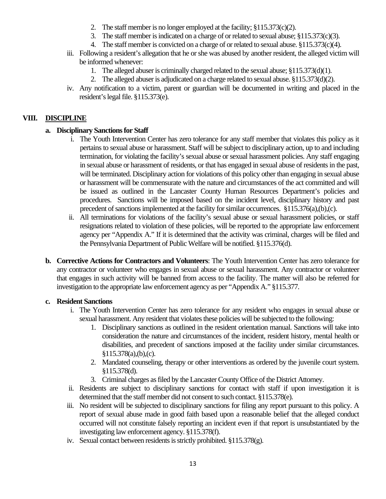- 2. The staff member is no longer employed at the facility; §115.373(c)(2).
- 3. The staff member is indicated on a charge of or related to sexual abuse; §115.373(c)(3).
- 4. The staff member is convicted on a charge of or related to sexual abuse. §115.373(c)(4).
- iii. Following a resident's allegation that he or she was abused by another resident, the alleged victim will be informed whenever:
	- 1. The alleged abuser is criminally charged related to the sexual abuse; §115.373(d)(1).
	- 2. The alleged abuser is adjudicated on a charge related to sexual abuse. §115.373(d)(2).
- iv. Any notification to a victim, parent or guardian will be documented in writing and placed in the resident's legal file. §115.373(e).

## **VIII. DISCIPLINE**

## **a. Disciplinary Sanctions for Staff**

- i. The Youth Intervention Center has zero tolerance for any staff member that violates this policy as it pertains to sexual abuse or harassment. Staff will be subject to disciplinary action, up to and including termination, for violating the facility's sexual abuse or sexual harassment policies. Any staff engaging in sexual abuse or harassment of residents, or that has engaged in sexual abuse of residents in the past, will be terminated. Disciplinary action for violations of this policy other than engaging in sexual abuse or harassment will be commensurate with the nature and circumstances of the act committed and will be issued as outlined in the Lancaster County Human Resources Department's policies and procedures. Sanctions will be imposed based on the incident level, disciplinary history and past precedent of sanctions implemented at the facility for similar occurrences. §115.376(a),(b),(c).
- ii. All terminations for violations of the facility's sexual abuse or sexual harassment policies, or staff resignations related to violation of these policies, will be reported to the appropriate law enforcement agency per "Appendix A." If it is determined that the activity was criminal, charges will be filed and the Pennsylvania Department of Public Welfare will be notified. §115.376(d).
- **b. Corrective Actions for Contractors and Volunteers**: The Youth Intervention Center has zero tolerance for any contractor or volunteer who engages in sexual abuse or sexual harassment. Any contractor or volunteer that engages in such activity will be banned from access to the facility. The matter will also be referred for investigation to the appropriate law enforcement agency as per "Appendix A." §115.377.

## **c. Resident Sanctions**

- i. The Youth Intervention Center has zero tolerance for any resident who engages in sexual abuse or sexual harassment. Any resident that violates these policies will be subjected to the following:
	- 1. Disciplinary sanctions as outlined in the resident orientation manual. Sanctions will take into consideration the nature and circumstances of the incident, resident history, mental health or disabilities, and precedent of sanctions imposed at the facility under similar circumstances. §115.378(a),(b),(c).
	- 2. Mandated counseling, therapy or other interventions as ordered by the juvenile court system. §115.378(d).
	- 3. Criminal charges as filed by the Lancaster County Office of the District Attorney.
- ii. Residents are subject to disciplinary sanctions for contact with staff if upon investigation it is determined that the staff member did not consent to such contact. §115.378(e).
- iii. No resident will be subjected to disciplinary sanctions for filing any report pursuant to this policy. A report of sexual abuse made in good faith based upon a reasonable belief that the alleged conduct occurred will not constitute falsely reporting an incident even if that report is unsubstantiated by the investigating law enforcement agency. §115.378(f).
- iv. Sexual contact between residents is strictly prohibited. §115.378(g).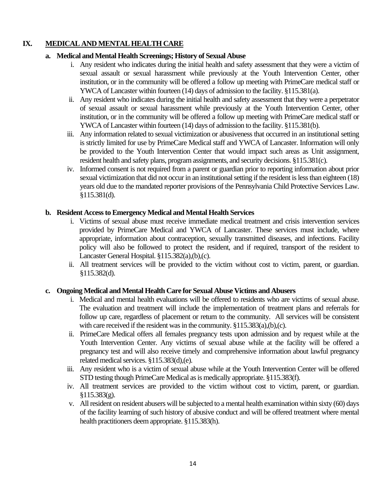## **IX. MEDICAL AND MENTAL HEALTH CARE**

### **a. Medical and Mental Health Screenings; History of Sexual Abuse**

- i. Any resident who indicates during the initial health and safety assessment that they were a victim of sexual assault or sexual harassment while previously at the Youth Intervention Center, other institution, or in the community will be offered a follow up meeting with PrimeCare medical staff or YWCA of Lancaster within fourteen (14) days of admission to the facility. §115.381(a).
- ii. Any resident who indicates during the initial health and safety assessment that they were a perpetrator of sexual assault or sexual harassment while previously at the Youth Intervention Center, other institution, or in the community will be offered a follow up meeting with PrimeCare medical staff or YWCA of Lancaster within fourteen (14) days of admission to the facility. §115.381(b).
- iii. Any information related to sexual victimization or abusiveness that occurred in an institutional setting is strictly limited for use by PrimeCare Medical staff and YWCA of Lancaster. Information will only be provided to the Youth Intervention Center that would impact such areas as Unit assignment, resident health and safety plans, program assignments, and security decisions. §115.381(c).
- iv. Informed consent is not required from a parent or guardian prior to reporting information about prior sexual victimization that did not occur in an institutional setting if the resident is less than eighteen (18) years old due to the mandated reporter provisions of the Pennsylvania Child Protective Services Law. §115.381(d).

#### **b. Resident Access to Emergency Medical and Mental Health Services**

- i. Victims of sexual abuse must receive immediate medical treatment and crisis intervention services provided by PrimeCare Medical and YWCA of Lancaster. These services must include, where appropriate, information about contraception, sexually transmitted diseases, and infections. Facility policy will also be followed to protect the resident, and if required, transport of the resident to Lancaster General Hospital. §115.382(a),(b),(c).
- ii. All treatment services will be provided to the victim without cost to victim, parent, or guardian. §115.382(d).

#### **c. Ongoing Medical and Mental Health Care for Sexual Abuse Victims and Abusers**

- i. Medical and mental health evaluations will be offered to residents who are victims of sexual abuse. The evaluation and treatment will include the implementation of treatment plans and referrals for follow up care, regardless of placement or return to the community. All services will be consistent with care received if the resident was in the community. §115.383(a),(b),(c).
- ii. PrimeCare Medical offers all females pregnancy tests upon admission and by request while at the Youth Intervention Center. Any victims of sexual abuse while at the facility will be offered a pregnancy test and will also receive timely and comprehensive information about lawful pregnancy related medical services. §115.383(d),(e).
- iii. Any resident who is a victim of sexual abuse while at the Youth Intervention Center will be offered STD testing though PrimeCare Medical as is medically appropriate. §115.383(f).
- iv. All treatment services are provided to the victim without cost to victim, parent, or guardian. §115.383(g).
- v. All resident on resident abusers will be subjected to a mental health examination within sixty (60) days of the facility learning of such history of abusive conduct and will be offered treatment where mental health practitioners deem appropriate. §115.383(h).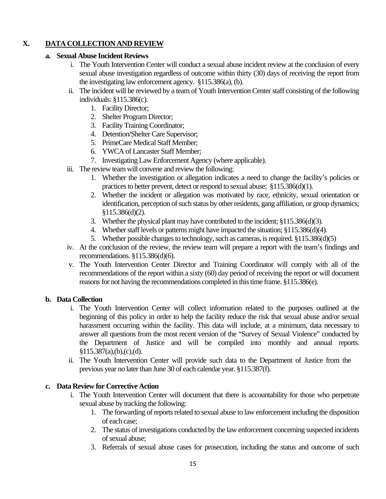# **X. DATA COLLECTION AND REVIEW**

#### **a. Sexual Abuse Incident Reviews**

- i. The Youth Intervention Center will conduct a sexual abuse incident review at the conclusion of every sexual abuse investigation regardless of outcome within thirty (30) days of receiving the report from the investigating law enforcement agency. §115.386(a), (b).
- ii. The incident will be reviewed by a team of Youth Intervention Center staff consisting of the following individuals: §115.386(c).
	- 1. Facility Director;
	- 2. Shelter Program Director;
	- 3. Facility Training Coordinator;
	- 4. Detention/Shelter Care Supervisor;
	- 5. PrimeCare Medical Staff Member;
	- 6. YWCA of Lancaster Staff Member;
	- 7. Investigating Law Enforcement Agency (where applicable).
- iii. The review team will convene and review the following:
	- 1. Whether the investigation or allegation indicates a need to change the facility's policies or practices to better prevent, detect or respond to sexual abuse; §115.386(d)(1).
	- 2. Whether the incident or allegation was motivated by race, ethnicity, sexual orientation or identification, perception of such status by other residents, gang affiliation, or group dynamics; §115.386(d)(2).
	- 3. Whether the physical plant may have contributed to the incident; §115.386(d)(3).
	- 4. Whether staff levels or patterns might have impacted the situation; §115.386(d)(4).
	- 5. Whether possible changes to technology, such as cameras, is required. §115.386(d)(5)
- iv. At the conclusion of the review, the review team will prepare a report with the team's findings and recommendations. §115.386(d)(6).
- v. The Youth Intervention Center Director and Training Coordinator will comply with all of the recommendations of the report within a sixty (60) day period of receiving the report or will document reasons for not having the recommendations completed in this time frame. §115.386(e).

## **b. Data Collection**

- i. The Youth Intervention Center will collect information related to the purposes outlined at the beginning of this policy in order to help the facility reduce the risk that sexual abuse and/or sexual harassment occurring within the facility. This data will include, at a minimum, data necessary to answer all questions from the most recent version of the "Survey of Sexual Violence" conducted by the Department of Justice and will be compiled into monthly and annual reports.  $§115.387(a),(b),(c),(d).$
- ii. The Youth Intervention Center will provide such data to the Department of Justice from the previous year no later than June 30 of each calendar year. §115.387(f).

## **c. Data Review for Corrective Action**

- i. The Youth Intervention Center will document that there is accountability for those who perpetrate sexual abuse by tracking the following:
	- 1. The forwarding of reports related to sexual abuse to law enforcement including the disposition of each case;
	- 2. The status of investigations conducted by the law enforcement concerning suspected incidents of sexual abuse;
	- 3. Referrals of sexual abuse cases for prosecution, including the status and outcome of such